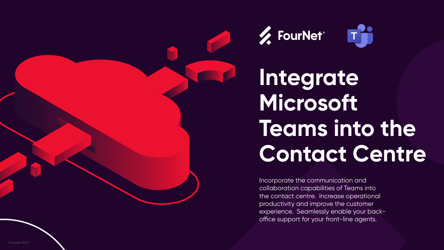Copyright 2021®





## **Integrate Microsoft Teams into the Contact Centre**

Incorporate the communication and collaboration capabilities of Teams into the contact centre. Increase operational productivity and improve the customer experience. Seamlessly enable your backoffice support for your front-line agents.



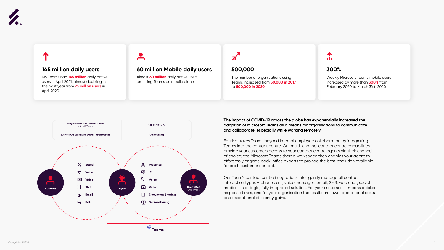**The impact of COVID-19 across the globe has exponentially increased the adoption of Microsoft Teams as a means for organisations to communicate and collaborate, especially while working remotely.**

FourNet takes Teams beyond internal employee collaboration by integrating Teams into the contact centre. Our multi-channel contact centre capabilities provide your customers access to your contact centre agents via their channel of choice; the Microsoft Teams shared workspace then enables your agent to effortlessly engage back-office experts to provide the best resolution available for each customer contact.

Our Team's contact centre integrations intelligently manage all contact interaction types – phone calls, voice messages, email, SMS, web chat, social media – in a single, fully integrated solution. For your customers it means quicker response times, and for your organisation the results are lower operational costs and exceptional efficiency gains.



#### **60 million Mobile daily users 500,000 300%**

The number of organisations using Teams increased from **50,000 in 2017** to **500,000 in 2020**

#### 个 n In

Weekly Microsoft Teams mobile users increased by more than **300%** from February 2020 to March 31st, 2020

Almost **60 million** daily active users are using Teams on mobile alone



MS Teams had **145 million** daily active users in April 2021, almost doubling in the past year from **75 million users** in April 2020

 $\blacksquare$ 



#### **145 million daily users**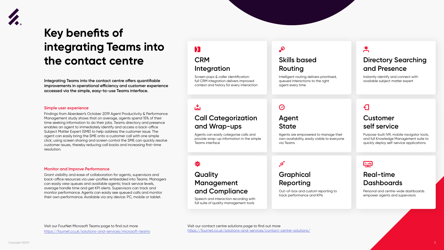

## **Key benefits of integrating Teams into the contact centre**

**Integrating Teams into the contact centre offers quantifiable improvements in operational efficiency and customer experience accessed via the simple, easy-to-use Teams interface.** 

Findings from Aberdeen's October 2019 Agent Productivity & Performance Management study shows that on average, agents spend 15% of their time seeking information to do their jobs. Teams directory and presence enables an agent to immediately identify and access a back-office Subject Matter Expert (SME) to help address the customer issue. The agent can easily bring the SME onto a customer call with one simple click; using screen sharing and screen control the SME can quickly resolve customer issues, thereby reducing call backs and increasing first-time resolution.

> 楼 **Quality**

#### **Simple user experience**

Grant visibility and ease of collaboration for agents, supervisors and back-office resources via user-profiles embedded into Teams. Managers can easily view queues and available agents; track service levels, average handle time and get KPI alerts. Supervisors can track and monitor performance. Agents can easily see queued calls and monitor their own performance. Available via any device: PC, mobile or tablet.

#### **Monitor and Improve Performance**





## **Integration**

## **Call Categorization and Wrap-ups**

## **Management and Compliance**

## $\boldsymbol{\beta}$

#### **Skills based Routing**

#### **Agent State**

## **Graphical Reporting**

### **Directory Searching and Presence**

### **Customer self service**

### **Real-time Dashboards**

Screen pops & caller identification: full CRM integration delivers improved context and history for every interaction

 $\mathbf{r}$ 

Agents can easily categorise calls and provide wrap-up information in the simple

#### $\mathcal{R}$

Teams interface

Speech and interaction recording with full suite of quality management tools

Intelligent routing delivers prioritised, queued interactions to the right agent every time

#### $\bigodot$

Agents are empowered to manage their own availability, easily visible to everyone via Teams

#### $\bullet$

Out-of-box and custom reporting to track performance and KPIs

#### <u>the </u>

Instantly identify and connect with available subject matter expert

### $\bigoplus$

Purpose-built IVR, mobile navigator tools, and full Knowledge Management suite to quickly deploy self-service applications

Personal and centre-wide dashboards empower agents and supervisors

Visit our FourNet Microsoft Teams page to find out more <https://fournet.co.uk/solutions-and-services/microsoft-teams>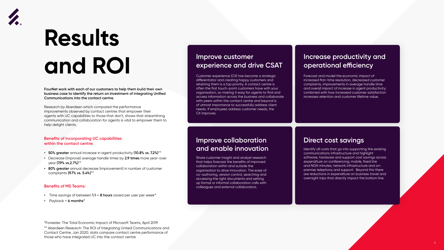



# **Results and ROI**

**FourNet work with each of our customers to help them build their own business case to identify the return on investment of integrating Unified Communications into the contact centre.**

Research by Aberdeen which compared the performance improvements observed by contact centres that empower their agents with UC capabilities to those that don't, shows that streamlining communication and collaboration for agents is vital to empower them to help delight clients.

#### **Benefits of Incorporating UC capabilities within the contact centre:**

- **• 50% greater** annual increase in agent productivity **(10.8% vs. 7.2%)**\*\*
- **•** Decrease (improve) average handle times by **2.9 times** more year-over year **(7.9% vs.2.7%)**\*\*
- **• 80% greater** annual decrease (improvement) in number of customer complaints **(9.7% vs. 5.4%)**\*\*

\*Forrester: The Total Economic Impact of Microsoft Teams, April 2019 \*\* Aberdeen Research: The ROI of Integrating United Communications and Contact Centre, Jan 2020; stats compare contact centre performance of those who have integrated UC into the contact centre

#### **Benefits of MS Teams:**

- **•** Time savings of between **1.1 8 hours** saved per user per week**\***
- **•** Payback < **6 months\***

#### **Improve customer experience and drive CSAT**

### **Improve collaboration and enable innovation**

#### **Increase productivity and operational efficiency**

#### **Direct cost savings**

Customer experience (CX) has become a strategic differentiator and creating happy customers and retaining them is a top priority. A contact centre is often the first touch-point customers have with your organisation, so making it easy for agents to find and access information across the business and collaborate with peers within the contact centre and beyond is of utmost importance to successfully address client needs. If employees address customer needs, the

CX improves.

Share customer insight and analyst research that helps forecast the benefits of improved collaboration within and outside the organisation to drive innovation. The ease of co-authoring, version control, searching and accessing the right documents and setting up formal or informal collaboration calls with colleagues and external collaborators.

Forecast and model the economic impact of increased first-time resolution, decreased customer complaints, improvements in average handle time and overall impact of increase in agent productivity; combined with how increased customer satisfaction increases retention and customer lifetime value.

Identify all costs that go into supporting the existing communications infrastructure and highlight software, hardware and support cost savings across expenditure on conferencing; mobile, fixed line and NGN minutes; network infrastructure and onpremise telephony and support. Beyond this there are reductions in expenditure on business travel and overnight trips that directly impact the bottom line.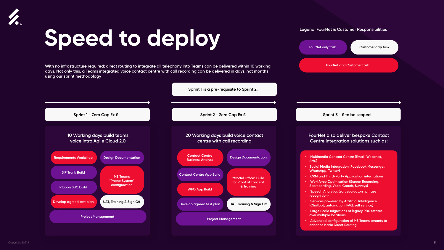#### **Legend: FourNet & Customer Responsibilities**







#### **FourNet also deliver bespoke Contact Centre integration solutions such as:**

**Sprint 3 - £ to be scoped**

- **Multimedia Contact Centre (Email, Webchat, SMS)**
- **• Social Media Integration (Facebook Messenger, WhatsApp, Twitter)**
- **CRM and Third-Party Application integrations**
- **Workforce Optimisation (Screen Recording, Scorecarding, Vocal Coach, Surveys)**
- **Speech Analytics (soft evaluators, phrase recognition)**
- **Services powered by Artificial Intelligence (Chatbot, automation, FAQ, self service)**
- **Large Scale migrations of legacy PBX estates over multiple locations**
- **Advanced configuration of MS Teams tenants to enhance basic Direct Routing**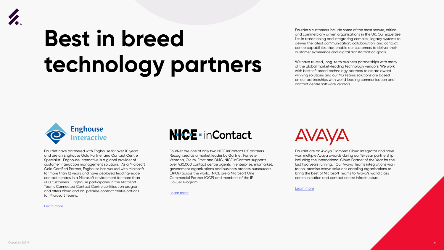



# **Best in breed technology partners**



FourNet's customers include some of the most secure, critical and commercially driven organisations in the UK. Our expertise lies in transitioning and integrating complex, legacy systems to deliver the latest communication, collaboration, and contact centre capabilities that enable our customers to deliver their customer experience and digital transformation goals.

We have trusted, long-term business partnerships with many of the global market-leading technology vendors. We work with best-of-breed technology partners to create award winning solutions and our MS Teams solutions are based on our partnerships with world leading communication and contact centre software vendors.

## **NICE - inContact**



FourNet are an Avaya Diamond Cloud Integrator and have won multiple Avaya awards during our 15-year partnership including the International Cloud Partner of the Year for the last two years running. Our Avaya Teams integrations work for on-premise Avaya solutions enabling organisations to bring the best of Microsoft Teams to Avaya's world class communication and contact centre infrastructure.

[Learn more](https://fournet.co.uk/partnership/avaya/)

FourNet have partnered with Enghouse for over 10 years and are an Enghouse Gold Partner and Contact Centre Specialist. Enghouse Interactive is a global provider of customer interaction management solutions. As a Microsoft Gold Certified Partner, Enghouse has worked with Microsoft for more than 12 years and have deployed leading-edge contact centres in a Microsoft environment for more than 600 customers. Enghouse participates in the Microsoft Teams Connected Contact Centre certification program and offers cloud and on-premise contact centre options for Microsoft Teams.



FourNet are one of only two NICE inContact UK partners. Recognized as a market leader by Gartner, Forrester, Ventana, Ovum, Frost and DMG, NICE inContact supports over 430,000 contact centre agents in enterprise, midmarket, government organizations and business process outsourcers (BPOs) across the world. NICE are a Microsoft One Commercial Partner (OCP) and members of the IP Co-Sell Program.

[Learn more](https://fournet.co.uk/partnership/nice-incontact/)

[Learn more](https://fournet.co.uk/partnership/enghouse/)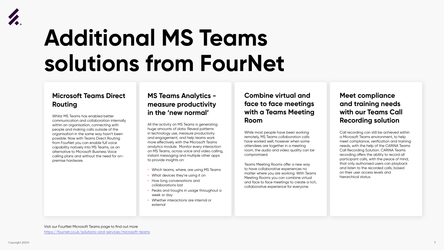

# **Additional MS Teams solutions from FourNet**

### **Microsoft Teams Direct Routing**

Whilst MS Teams has enabled better communication and collaboration internally within an organisation, connecting with people and making calls outside of the organisation in the same way hasn't been possible. Now with Teams Direct Routing from FourNet you can enable full voice capability natively into MS Teams, as an alternative to Microsoft Business Voice calling plans and without the need for onpremise hardware.

## **MS Teams Analytics measure productivity in the 'new normal'**

All the activity on MS Teams is generating huge amounts of data. Reveal patterns in technology use, measure productivity and engagement, and help teams work more effectively with the Microsoft Teams analytics module. Monitor every interaction on MS Teams, across voice and video calling, instant messaging and multiple other apps to provide insights on:

- Which teams, where, are using MS Teams
- What devices they're using it on
- How long conversations and collaborations last
- Peaks and troughs in usage throughout a week or day
- Whether interactions are internal or external

#### **Combine virtual and face to face meetings with a Teams Meeting Room**

While most people have been working remotely, MS Teams collaboration calls have worked well, however when some attendees are together in a meeting room, the audio and video quality can be compromised.

Teams Meeting Rooms offer a new way to have collaborative experiences no matter where you are working. With Teams Meeting Rooms you can combine virtual and face to face meetings to create a rich, collaborative experience for everyone.

#### **Meet compliance and training needs with our Teams Call Recording solution**

Call recording can still be achieved within a Microsoft Teams environment, to help meet compliance, verification and training needs, with the help of the CARiNA Teams Call Recording Solution. CARiNA Teams recording offers the ability to record all participant calls, with the peace of mind, that only authorised users can playback and listen to the recorded calls, based on their user access levels and hierarchical status.



Visit our FourNet Microsoft Teams page to find out more <https://fournet.co.uk/solutions-and-services/microsoft-teams>